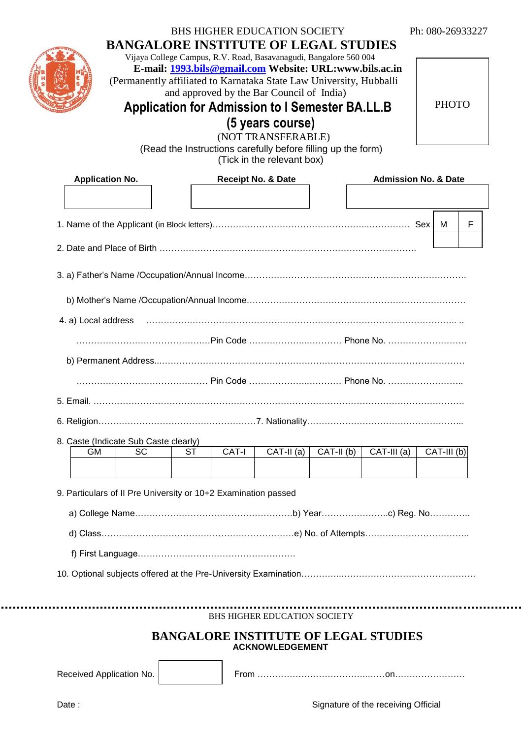|                                                                | E-mail: 1993.bils@gmail.com Website: URL:www.bils.ac.in<br>(Permanently affiliated to Karnataka State Law University, Hubballi<br>and approved by the Bar Council of India)<br>Application for Admission to I Semester BA.LL.B<br>(5 years course)<br>(NOT TRANSFERABLE)<br>(Read the Instructions carefully before filling up the form)<br>(Tick in the relevant box) |                        |             |               |                                 | <b>PHOTO</b> |   |
|----------------------------------------------------------------|------------------------------------------------------------------------------------------------------------------------------------------------------------------------------------------------------------------------------------------------------------------------------------------------------------------------------------------------------------------------|------------------------|-------------|---------------|---------------------------------|--------------|---|
| <b>Application No.</b>                                         | <b>Receipt No. &amp; Date</b>                                                                                                                                                                                                                                                                                                                                          |                        |             |               | <b>Admission No. &amp; Date</b> |              |   |
|                                                                |                                                                                                                                                                                                                                                                                                                                                                        |                        |             |               |                                 |              |   |
|                                                                |                                                                                                                                                                                                                                                                                                                                                                        |                        |             |               |                                 | M            | F |
|                                                                |                                                                                                                                                                                                                                                                                                                                                                        |                        |             |               |                                 |              |   |
|                                                                |                                                                                                                                                                                                                                                                                                                                                                        |                        |             |               |                                 |              |   |
|                                                                |                                                                                                                                                                                                                                                                                                                                                                        |                        |             |               |                                 |              |   |
| 4. a) Local address                                            |                                                                                                                                                                                                                                                                                                                                                                        |                        |             |               |                                 |              |   |
|                                                                |                                                                                                                                                                                                                                                                                                                                                                        |                        |             |               |                                 |              |   |
|                                                                |                                                                                                                                                                                                                                                                                                                                                                        |                        |             |               |                                 |              |   |
|                                                                |                                                                                                                                                                                                                                                                                                                                                                        |                        |             |               |                                 |              |   |
|                                                                |                                                                                                                                                                                                                                                                                                                                                                        |                        |             |               |                                 |              |   |
|                                                                |                                                                                                                                                                                                                                                                                                                                                                        |                        |             |               |                                 |              |   |
|                                                                |                                                                                                                                                                                                                                                                                                                                                                        |                        |             |               |                                 |              |   |
| 8. Caste (Indicate Sub Caste clearly)                          |                                                                                                                                                                                                                                                                                                                                                                        |                        |             |               |                                 |              |   |
| <b>SC</b><br><b>GM</b>                                         | CAT-I<br><b>ST</b>                                                                                                                                                                                                                                                                                                                                                     | $\overline{CAT-II(a)}$ | $CAT-II(b)$ | $CAT-III$ (a) |                                 | CAT-III (b)  |   |
| 9. Particulars of II Pre University or 10+2 Examination passed |                                                                                                                                                                                                                                                                                                                                                                        |                        |             |               |                                 |              |   |
|                                                                |                                                                                                                                                                                                                                                                                                                                                                        |                        |             |               |                                 |              |   |
|                                                                |                                                                                                                                                                                                                                                                                                                                                                        |                        |             |               |                                 |              |   |
|                                                                |                                                                                                                                                                                                                                                                                                                                                                        |                        |             |               |                                 |              |   |
|                                                                |                                                                                                                                                                                                                                                                                                                                                                        |                        |             |               |                                 |              |   |
|                                                                |                                                                                                                                                                                                                                                                                                                                                                        |                        |             |               |                                 |              |   |
|                                                                | BHS HIGHER EDUCATION SOCIETY                                                                                                                                                                                                                                                                                                                                           |                        |             |               |                                 |              |   |

.......